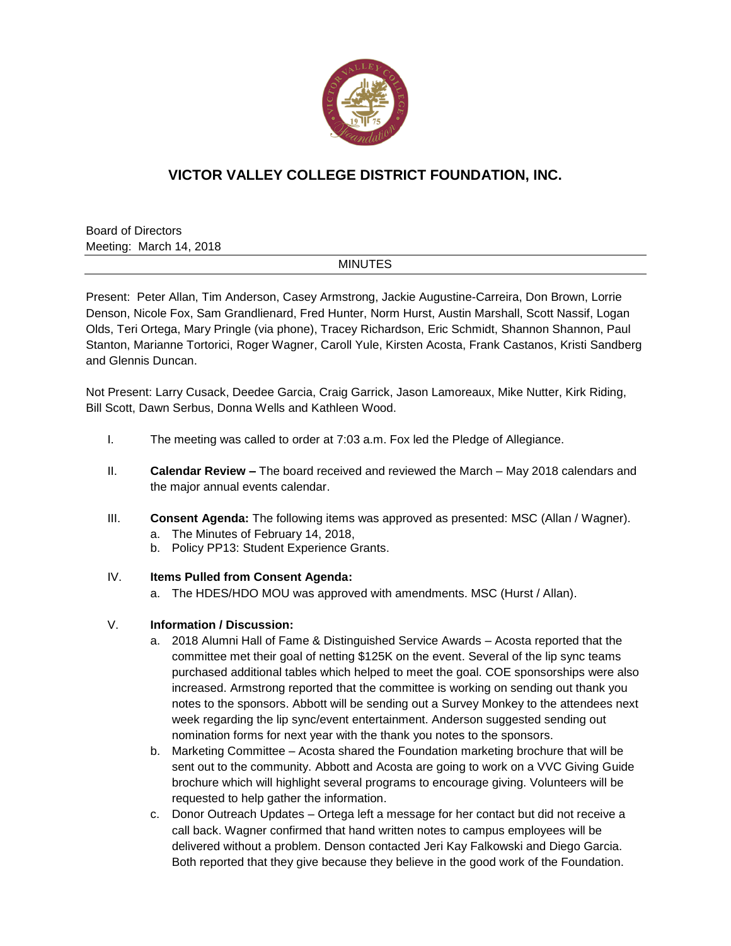

## **VICTOR VALLEY COLLEGE DISTRICT FOUNDATION, INC.**

Board of Directors Meeting: March 14, 2018

## MINUTES

Present: Peter Allan, Tim Anderson, Casey Armstrong, Jackie Augustine-Carreira, Don Brown, Lorrie Denson, Nicole Fox, Sam Grandlienard, Fred Hunter, Norm Hurst, Austin Marshall, Scott Nassif, Logan Olds, Teri Ortega, Mary Pringle (via phone), Tracey Richardson, Eric Schmidt, Shannon Shannon, Paul Stanton, Marianne Tortorici, Roger Wagner, Caroll Yule, Kirsten Acosta, Frank Castanos, Kristi Sandberg and Glennis Duncan.

Not Present: Larry Cusack, Deedee Garcia, Craig Garrick, Jason Lamoreaux, Mike Nutter, Kirk Riding, Bill Scott, Dawn Serbus, Donna Wells and Kathleen Wood.

- I. The meeting was called to order at 7:03 a.m. Fox led the Pledge of Allegiance.
- II. **Calendar Review –** The board received and reviewed the March May 2018 calendars and the major annual events calendar.
- III. **Consent Agenda:** The following items was approved as presented: MSC (Allan / Wagner).
	- a. The Minutes of February 14, 2018,
	- b. Policy PP13: Student Experience Grants.
- IV. **Items Pulled from Consent Agenda:**
	- a. The HDES/HDO MOU was approved with amendments. MSC (Hurst / Allan).

## V. **Information / Discussion:**

- a. 2018 Alumni Hall of Fame & Distinguished Service Awards Acosta reported that the committee met their goal of netting \$125K on the event. Several of the lip sync teams purchased additional tables which helped to meet the goal. COE sponsorships were also increased. Armstrong reported that the committee is working on sending out thank you notes to the sponsors. Abbott will be sending out a Survey Monkey to the attendees next week regarding the lip sync/event entertainment. Anderson suggested sending out nomination forms for next year with the thank you notes to the sponsors.
- b. Marketing Committee Acosta shared the Foundation marketing brochure that will be sent out to the community. Abbott and Acosta are going to work on a VVC Giving Guide brochure which will highlight several programs to encourage giving. Volunteers will be requested to help gather the information.
- c. Donor Outreach Updates Ortega left a message for her contact but did not receive a call back. Wagner confirmed that hand written notes to campus employees will be delivered without a problem. Denson contacted Jeri Kay Falkowski and Diego Garcia. Both reported that they give because they believe in the good work of the Foundation.